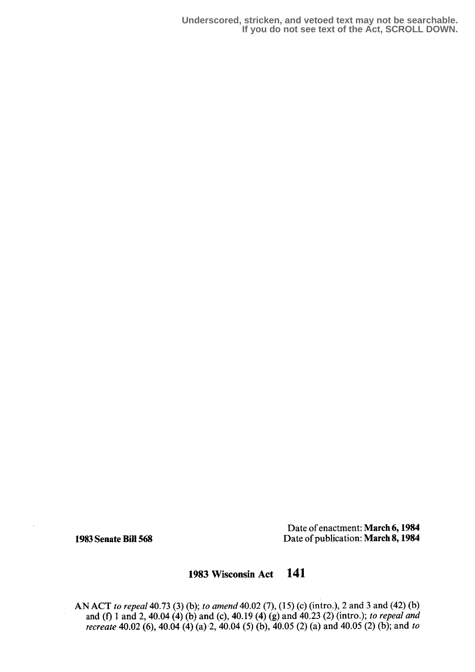**Underscored, stricken, and vetoed text may not be searchable. If you do not see text of the Act, SCROLL DOWN.**

Date of enactment: March 6,1984 1983 Senate Bill 568 Date of publication: March 8, 1984

# 1983 Wisconsin Act 141

AN ACT to repeal 40.73 (3) (b); to amend 40.02 (7), (15) (c) (intro.), 2 and 3 and (42) (b) and (f) 1 and 2, 40.04 (4) (b) and (c), 40.19 (4) (g) and 40.23 (2) (intro.); to repeal and recreate 40.02 (6), 40.04 (4) (a) 2, 40.04 (5) (b), 40.05 (2) (a) and 40.05 (2) (b); and to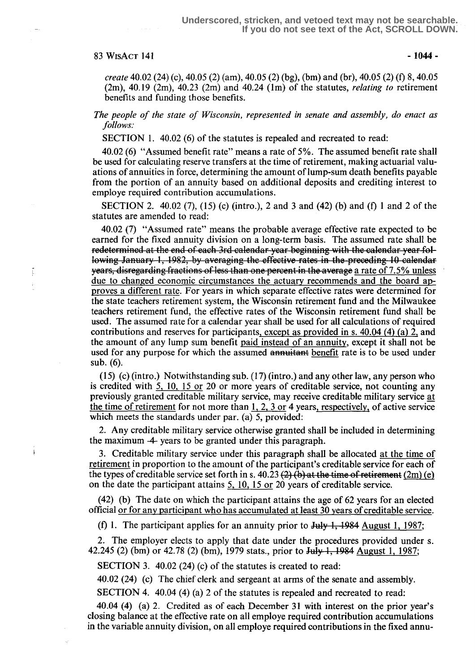# $83 \text{ WisAcr}$  141  $-1044$  -

Ţ

create 40.02 (24) (c), 40.05 (2) (am), 40.05 (2) (bg), (bm) and (br), 40.05 (2) (f) S, 40.05  $(2m)$ , 40.19  $(2m)$ , 40.23  $(2m)$  and 40.24  $(1m)$  of the statutes, *relating to* retirement benefits and funding those benefits.

The people of the state of Wisconsin, represented in senate and assembly, do enact as follows:

SECTION 1. 40.02 (6) of the statutes is repealed and recreated to read:

40.02 (6) "Assumed benefit rate" means a rate of 5%. The assumed benefit rate shall be used for calculating reserve transfers at the time of retirement, making actuarial valuations of annuities in force, determining the amount of lump-sum death benefits payable from the portion of an annuity based on additional deposits and crediting interest to employe required contribution accumulations.

SECTION 2. 40.02 (7), (15) (c) (intro.), 2 and 3 and (42) (b) and (f) I and 2 of the statutes are amended to read:

40.02 (7) "Assumed rate" means the probable average effective rate expected to be earned for the fixed annuity division on a long-term basis. The assumed rate shall be redetermined at the end of each 3rd calendar-year-beginning with the calendar-year-following January 1, 1982, by averaging the effective rates in the preceding 10 calendar years, disregarding fractions of less than one percent in the average a rate of 7.5% unless due to changed economic circumstances the actuary recommends and the board approves a different rate . For years in which separate effective rates were determined for the state teachers retirement system, the Wisconsin retirement fund and the Milwaukee teachers retirement fund, the effective rates of the Wisconsin retirement fund shall be used. The assumed rate for a calendar year shall be used for all calculations of required contributions and reserves for participants , except as provided in s. 40.04 (4) (a) 2, and the amount of any lump sum benefit paid instead of an annuity, except it shall not be used for any purpose for which the assumed annuitant benefit rate is to be used under sub. (6).

 $(15)$  (c) (intro.) Notwithstanding sub.  $(17)$  (intro.) and any other law, any person who is credited with 5, 10, 15 or 20 or more years of creditable service, not counting any previously granted creditable military service, may receive creditable military service at the time of retirement for not more than 1, 2, 3 or 4 years, respectively, of active service which meets the standards under par. (a) 5, provided:

2. Any creditable military service otherwise granted shall be included in determining the maximum  $-4$  years to be granted under this paragraph.

<sup>3</sup> . Creditable military service under this paragraph shall be allocated at the time of retirement in proportion to the amount of the participant's creditable service for each of the types of creditable service set forth in s. 40.23  $(2)$  (b) at the time of retirement (2m) (e) on the date the participant attains 5, 10, 15 or 20 years of creditable service.

(42) (b) The date on which the participant attains the age of 62 years for an elected official or for any participant who has accumulated at least 30 years of creditable service.

(f) 1. The participant applies for an annuity prior to  $J_{\text{u}}$   $\rightarrow$  1984 August 1, 1987;

2. The employer elects to apply that date under the procedures provided under s. 42.245 (2) (bm) or 42.78 (2) (bm), 1979 stats., prior to  $J_{\text{uly}}$ , 1984 August 1, 1987;

SECTION 3. 40.02 (24) (c) of the statutes is created to read:

40.02 (24) (c) The chief clerk and sergeant at arms of the senate and assembly .

SECTION 4. 40.04 (4) (a) 2 of the statutes is repealed and recreated to read:

40.04 (4) (a) 2. Credited as of each December 31 with interest on the prior year's closing balance at the effective rate on all employe required contribution accumulations in the variable annuity division, on all employe required contributions in the fixed annu-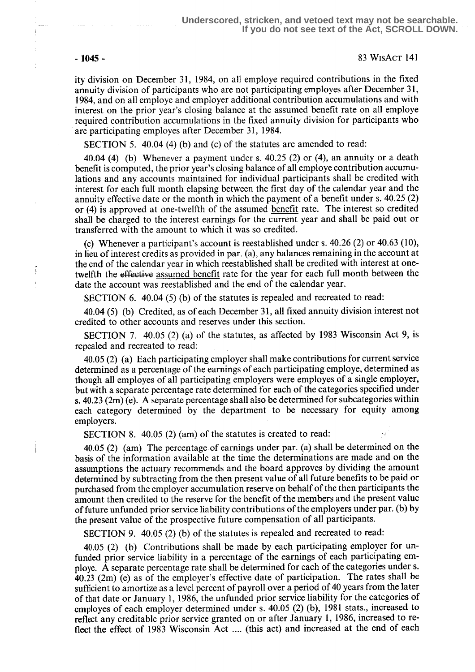j.  $\hat{\mathrm{i}}$ 

### - 1045 - 83 WisAcT 141

ity division on December 31, 1984, on all employe required contributions in the fixed annuity division of participants who are not participating employes after December 31, 1984, and on all employe and employer additional contribution accumulations and with interest on the prior year's closing balance at the assumed benefit rate on all employe required contribution accumulations in the fixed annuity division for participants who are participating employes after December 31, 1984.

SECTION 5. 40.04 (4) (b) and (c) of the statutes are amended to read:

40.04 (4) (b) Whenever a payment under s.  $40.25$  (2) or (4), an annuity or a death benefit is computed, the prior year's closing balance of all employe contribution accumulations and any accounts maintained for individual participants shall be credited with interest for each full month elapsing between the first day of the calendar year and the annuity effective date or the month in which the payment of a benefit under s. 40.25 (2) or (4) is approved at one-twelfth of the assumed benefit rate. The interest so credited shall be charged to the interest earnings for the current year and shall be paid out or transferred with the amount to which it was so credited .

(c) Whenever a participant's account is reestablished under s. 40.26 (2) or 40.63 (10), in lieu of interest credits as provided in par. (a), any balances remaining in the account at the end of the calendar year in which reestablished shall be credited with interest at onetwelfth the effective assumed benefit rate for the year for each full month between the date the account was reestablished and the end of the calendar year.

SECTION 6. 40.04 (5) (b) of the statutes is repealed and recreated to read:

40.04 (5) (b) Credited, as of each December 31, all fixed annuity division interest not credited to other accounts and reserves under this section .

SECTION 7. 40.05 (2) (a) of the statutes, as affected by 1983 Wisconsin Act 9, is repealed and recreated to read:

40.05 (2) (a) Each participating employer shall make contributions for current service determined as a percentage of the earnings of each participating employe, determined as though all employes of all participating employers were employes of a single employer, but with a separate percentage rate determined for each of the categories specified under s. 40.23 (2m) (e). A separate percentage shall also be determined for subcategories within each category determined by the department to be necessary for equity among employers.

SECTION 8. 40.05 (2) (am) of the statutes is created to read:

40.05 (2) (am) The percentage of earnings under par. (a) shall be determined on the basis of the information available at the time the determinations are made and on the assumptions the actuary recommends and the board approves by dividing the amount determined by subtracting from the then present value of all future benefits to be paid or purchased from the employer accumulation reserve on behalf of the then participants the amount then credited to the reserve for the benefit of the members and the present value of future unfunded prior service liability contributions of the employers under par. (b) by the present value of the prospective future compensation of all participants.

SECTION 9. 40.05 (2) (b) of the statutes is repealed and recreated to read:

40.05 (2) (b) Contributions shall be made by each participating employer for unfunded prior service liability in a percentage of the earnings of each participating employe. A separate percentage rate shall be determined for each of the categories under s. 40.23 (2m) (e) as of the employer's effective date of participation. The rates shall be sufficient to amortize as a level percent of payroll over a period of 40 years from the later of that date or January l, 1986, the unfunded prior service liability for the categories of employes of each employer determined under s. 40.05 (2) (b), 1981 stats., increased to reflect any creditable prior service granted on or after January 1, 1986, increased to reflect the effect of 1983 Wisconsin Act .... (this act) and increased at the end of each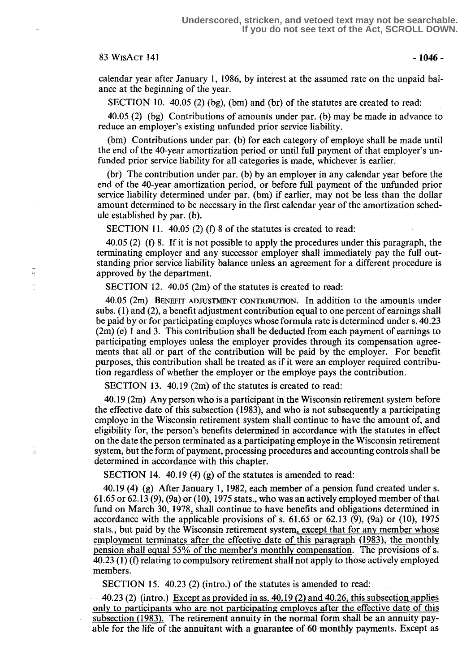## $83 \text{ WisAcr}$  141  $-1046$   $-$

표

Ä

calendar year after January 1, 1986, by interest at the assumed rate on the unpaid balance at the beginning of the year.

SECTION 10.  $40.05$  (2) (bg), (bm) and (br) of the statutes are created to read:

40.05 (2) (bg) Contributions of amounts under par. (b) may be made in advance to reduce an employer's existing unfunded prior service liability .

(bm) Contributions under par. (b) for each category of employe shall be made until the end of the 40-year amortization period or until full payment of that employer's unfunded prior service liability for all categories is made, whichever is earlier.

(br) The contribution under par. (b) by an employer in any calendar year before the end of the 40-year amortization period, or before full payment of the unfunded prior service liability determined under par. (bm) if earlier, may not be less than the dollar amount determined to be necessary in the first calendar year of the amortization schedule established by par. (b).

SECTION 11. 40.05 (2) (f) 8 of the statutes is created to read:

40.05 (2) (f) 8. If it is not possible to apply the procedures under this paragraph, the terminating employer and any successor employer shall immediately pay the full outstanding prior service liability balance unless an agreement for a different procedure is approved by the department.

SECTION 12. 40.05 (2m) of the statutes is created to read:

40.05 (2m) BENEFIT ADJUSTMENT CONTRIBUTION. In addition to the amounts under subs. (1) and (2), a benefit adjustment contribution equal to one percent of earnings shall be paid by or for participating employes whose formula rate is determined under s. 40.23 (2m) (e) 1 and 3. This contribution shall be deducted from each payment of earnings to participating employes unless the employer provides through its compensation agreements that all or part of the contribution will be paid by the employer. For benefit purposes, this contribution shall be treated as if it were an employer required contribution regardless of whether the employer or the employe pays the contribution.

SECTION 13. 40.19 (2m) of the statutes is created to read:

40.19 (2m) Any person who is a participant in the Wisconsin retirement system before the effective date of this subsection (1983), and who is not subsequently a participating employe in the Wisconsin retirement system shall continue to have the amount of, and eligibility for, the person's benefits determined in accordance with the statutes in effect on the date the person terminated as a participating employe in the Wisconsin retirement system, but the form of payment, processing procedures and accounting controls shall be determined in accordance with this chapter.

SECTION 14. 40.19 (4) (g) of the statutes is amended to read:

40.19 (4) (g) After January 1, 1982, each member of a pension fund created under s. <sup>61</sup> .65 or 62.13 (9), (9a) or (10), 1975 stats., who was an actively employed member of that fund on March 30, 1978, shall continue to have benefits and obligations determined in accordance with the applicable provisions of s.  $61.65$  or  $62.13$  (9), (9a) or (10), 1975 stats., but paid by the Wisconsin retirement system , except that for any member whose employment terminates after the effective date of this paragraph (1983), the monthly pension shall equal 55% of the member's monthly compensation. The provisions of s. 40.23 (1) (f) relating to compulsory retirement shall not apply to those actively employed members.

SECTION 15. 40.23 (2) (intro.) of the statutes is amended to read:

40.23 (2) (intro .) Except as provided in ss. 40.19 (2) and 40.26, this subsection applies only to participants who are not participating employes after the effective date of this subsection (1983). The retirement annuity in the normal form shall be an annuity payable for the life of the annuitant with a guarantee of 60 monthly payments . Except as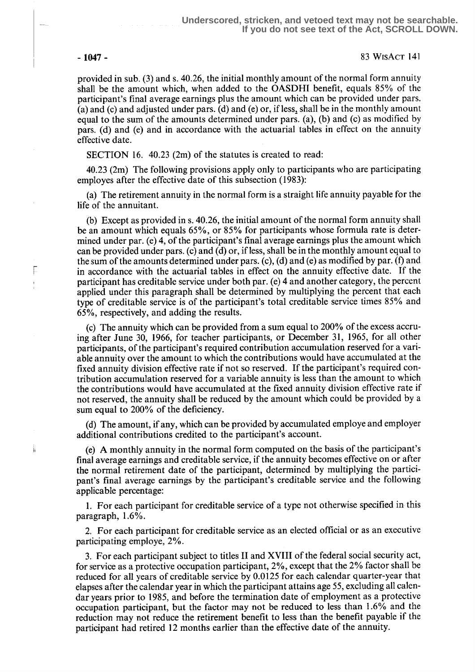F ŧ

j,

- 1047 - 83 WtsAct 141

provided in sub. (3) and s . 40.26, the initial monthly amount of the normal form annuity shall be the amount which, when added to the OASDHI benefit, equals 85% of the participant's final average earnings plus the amount which can be provided under pars. (a) and (c) and adjusted under pars. (d) and (e) or, if less, shall be in the monthly amount equal to the sum of the amounts determined under pars. (a), (b) and (c) as modified by pars. (d) and (e) and in accordance with the actuarial tables in effect on the annuity effective date.

SECTION 16. 40.23 (2m) of the statutes is created to read:

40.23 (2m) The following provisions apply only to participants who are participating employes after the effective date of this subsection (1983):

(a) The retirement annuity in the normal form is a straight life annuity payable for the life of the annuitant.

(b) Except as provided in s. 40.26, the initial amount of the normal form annuity shall be an amount which equals 65%, or 85% for participants whose formula rate is determined under par. (e) 4, of the participant's final average earnings plus the amount which can be provided under pars. (c) and (d) or, if less, shall be in the monthly amount equal to the sum of the amounts determined under pars. (c), (d) and (e) as modified by par. (f) and in accordance with the actuarial tables in effect on the annuity effective date. If the participant has creditable service under both par. (e) 4 and another category, the percent applied under this paragraph shall be determined by multiplying the percent that each type of creditable service is of the participant's total creditable service times 85% and 65%, respectively, and adding the results.

(c) The annuity which can be provided from a sum equal to 200% of the excess accruing after June 30, 1966, for teacher participants, or December 31, 1965, for all other participants, of the participant's required contribution accumulation reserved for a variable annuity over the amount to which the contributions would have accumulated at the fixed annuity division effective rate if not so reserved. If the participant's required contribution accumulation reserved for a variable annuity is less than the amount to which the contributions would have accumulated at the fixed annuity division effective rate if not reserved, the annuity shall be reduced by the amount which could be provided by a sum equal to 200% of the deficiency.

(d) The amount, if any, which can be provided by accumulated employe and employer additional contributions credited to the participant's account.

(e) A monthly annuity in the normal form computed on the basis of the participant's final average earnings and creditable service, if the annuity becomes effective on or after the normal retirement date of the participant, determined by multiplying the participant's final average earnings by the participant's creditable service and the following applicable percentage:

<sup>1</sup> . For each participant for creditable service of a type not otherwise specified in this paragraph,  $1.6\%$ .

2. For each participant for creditable service as an elected official or as an executive participating employe, 2%.

3. For each participant subject to titles II and XVIII of the federal social security act, for service as a protective occupation participant, 2%, except that the 2% factor shall be reduced for all years of creditable service by 0.0125 for each calendar quarter-year that elapses after the calendar year in which the participant attains age 55, excluding all calendar years prior to 1985, and before the termination date of employment as a protective occupation participant, but the factor may not be reduced to less than 1 .6% and the reduction may not reduce the retirement benefit to less than the benefit payable if the participant had retired 12 months earlier than the effective date of the annuity.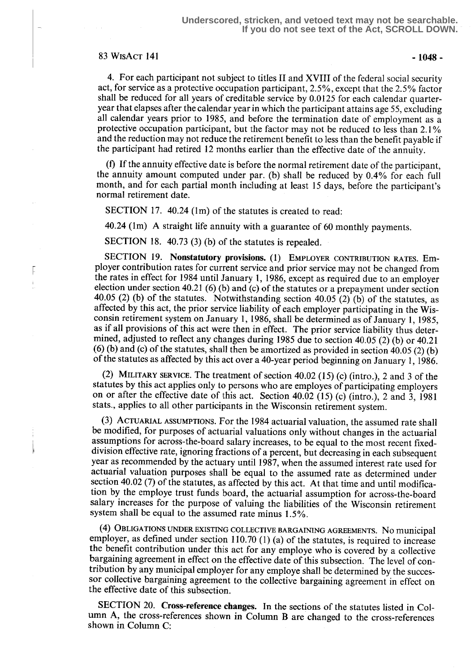# $83$  WisAct 141  $-1048$

F

4. For each participant not subject to titles II and XVIII of the federal social security act, for service as a protective occupation participant, 2.5%, except that the 2.5% factor shall be reduced for all years of creditable service by 0.0125 for each calendar quarteryear that elapses after the calendar year in which the participant attains age 55, excluding all calendar years prior to 1985, and before the termination date of employment as a protective occupation participant, but the factor may not be reduced to less than 2.1 % and the reduction may not reduce the retirement benefit to less than the benefit payable if the participant had retired 12 months earlier than the effective date of the annuity.

(f) If the annuity effective date is before the normal retirement date of the participant, the annuity amount computed under par. (b) shall be reduced by 0 .4% for each full month, and for each partial month including at least 15 days, before the participant's normal retirement date.

SECTION 17. 40.24 (1m) of the statutes is created to read:

40.24 (lm) A straight life annuity with a guarantee of 60 monthly payments.

SECTION 18. 40.73 (3) (b) of the statutes is repealed.

SECTION 19. Nonstatutory provisions. (1) EMPLOYER CONTRIBUTION RATES. Employer contribution rates for current service and prior service may not be changed from the rates in effect for 1984 until January 1, 1986, except as required due to an employer election under section 40.21 (6) (b) and (c) of the statutes or a prepayment under section 40.05 (2) (b) of the statutes. Notwithstanding section 40.05 (2) (b) of the statutes, as affected by this act, the prior service liability of each employer participating in the Wisconsin retirement system on January l, 1986, shall be determined as of January 1, 1985, as if all provisions of this act were then in effect. The prior service liability thus determined, adjusted to reflect any changes during 1985 due to section 40.05 (2) (b) or 40.21  $(6)$  (b) and (c) of the statutes, shall then be amortized as provided in section 40.05 (2) (b) of the statutes as affected by this act over a 40-year period beginning on January 1, 1986.

(2) MILITARY SERVICE. The treatment of section 40.02 (15) (c) (intro .), 2 and 3 of the statutes by this act applies only to persons who are employes of participating employers on or after the effective date of this act. Section 40.02 (15) (c) (intro.), 2 and 3, 1981 stats., applies to all other participants in the Wisconsin retirement system .

(3) ACTUARIAL ASSUMPTIONS. For the 1984 actuarial valuation, the assumed rate shall be modified, for purposes of actuarial valuations only without changes in the actuarial assumptions for across-the-board salary increases, to be equal to the most recent fixeddivision effective rate, ignoring fractions of a percent, but decreasing in each subsequent year as recommended by the actuary until 1987, when the assumed interest rate used for actuarial valuation purposes shall be equal to the assumed rate as determined under section 40.02 (7) of the statutes, as affected by this act. At that time and until modification by the employe trust funds board, the actuarial assumption for across-the-board salary increases for the purpose of valuing the liabilities of the Wisconsin retirement system shall be equal to the assumed rate minus 1.5%.

(4) OBLIGATIONS UNDER EXISTING COLLECTIVE BARGAINING AGREEMENTS. NO municipal employer, as defined under section 110.70 (1) (a) of the statutes, is required to increase the benefit contribution under this act for any employe who is covered by a collective bargaining agreement in effect on the effective date of this subsection . The level of contribution by any municipal employer for any employe shall be determined by the successor collective bargaining agreement to the collective bargaining agreement in effect on the effective date of this subsection.

SECTION 20. Cross-reference changes. In the sections of the statutes listed in Column A, the cross-references shown in Column B are changed to the cross-references shown in Column C: